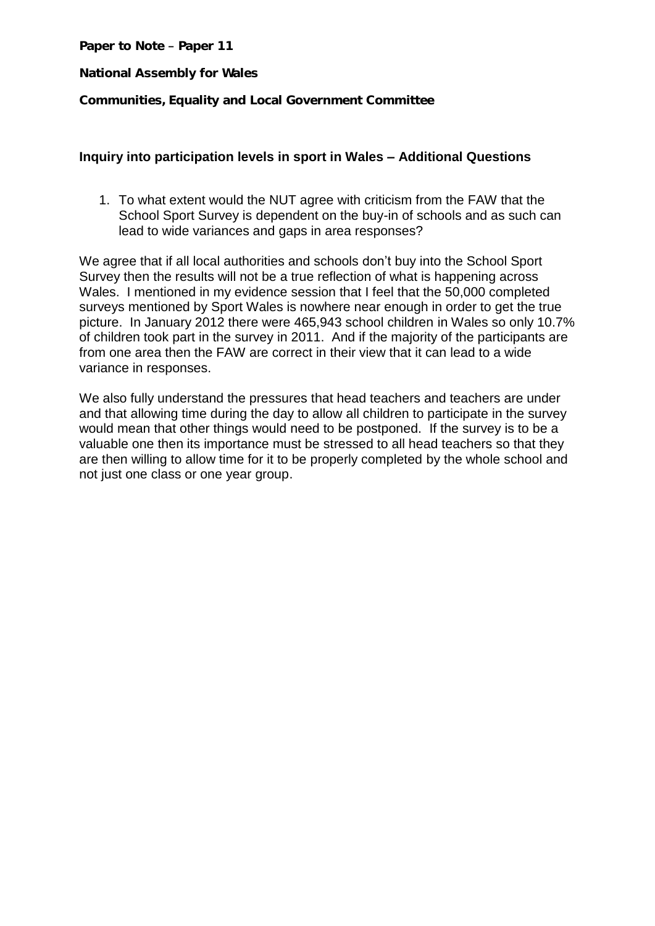Paper to Note - Paper 11

**National Assembly for Wales**

**Communities, Equality and Local Government Committee**

## **Inquiry into participation levels in sport in Wales – Additional Questions**

1. To what extent would the NUT agree with criticism from the FAW that the School Sport Survey is dependent on the buy-in of schools and as such can lead to wide variances and gaps in area responses?

We agree that if all local authorities and schools don't buy into the School Sport Survey then the results will not be a true reflection of what is happening across Wales. I mentioned in my evidence session that I feel that the 50,000 completed surveys mentioned by Sport Wales is nowhere near enough in order to get the true picture. In January 2012 there were 465,943 school children in Wales so only 10.7% of children took part in the survey in 2011. And if the majority of the participants are from one area then the FAW are correct in their view that it can lead to a wide variance in responses.

We also fully understand the pressures that head teachers and teachers are under and that allowing time during the day to allow all children to participate in the survey would mean that other things would need to be postponed. If the survey is to be a valuable one then its importance must be stressed to all head teachers so that they are then willing to allow time for it to be properly completed by the whole school and not just one class or one year group.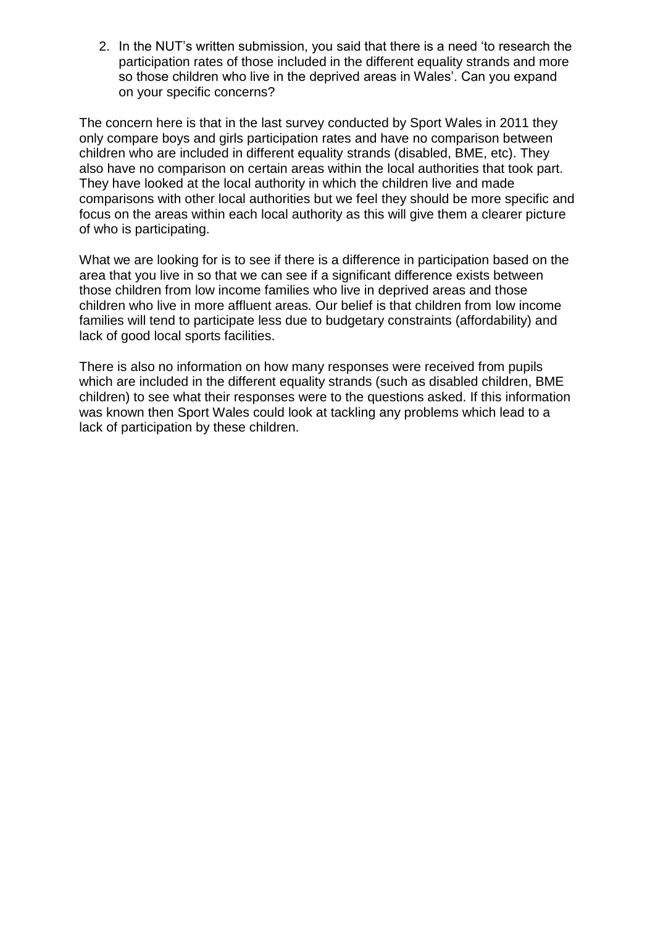2. In the NUT's written submission, you said that there is a need 'to research the participation rates of those included in the different equality strands and more so those children who live in the deprived areas in Wales'. Can you expand on your specific concerns?

The concern here is that in the last survey conducted by Sport Wales in 2011 they only compare boys and girls participation rates and have no comparison between children who are included in different equality strands (disabled, BME, etc). They also have no comparison on certain areas within the local authorities that took part. They have looked at the local authority in which the children live and made comparisons with other local authorities but we feel they should be more specific and focus on the areas within each local authority as this will give them a clearer picture of who is participating.

What we are looking for is to see if there is a difference in participation based on the area that you live in so that we can see if a significant difference exists between those children from low income families who live in deprived areas and those children who live in more affluent areas. Our belief is that children from low income families will tend to participate less due to budgetary constraints (affordability) and lack of good local sports facilities.

There is also no information on how many responses were received from pupils which are included in the different equality strands (such as disabled children, BME children) to see what their responses were to the questions asked. If this information was known then Sport Wales could look at tackling any problems which lead to a lack of participation by these children.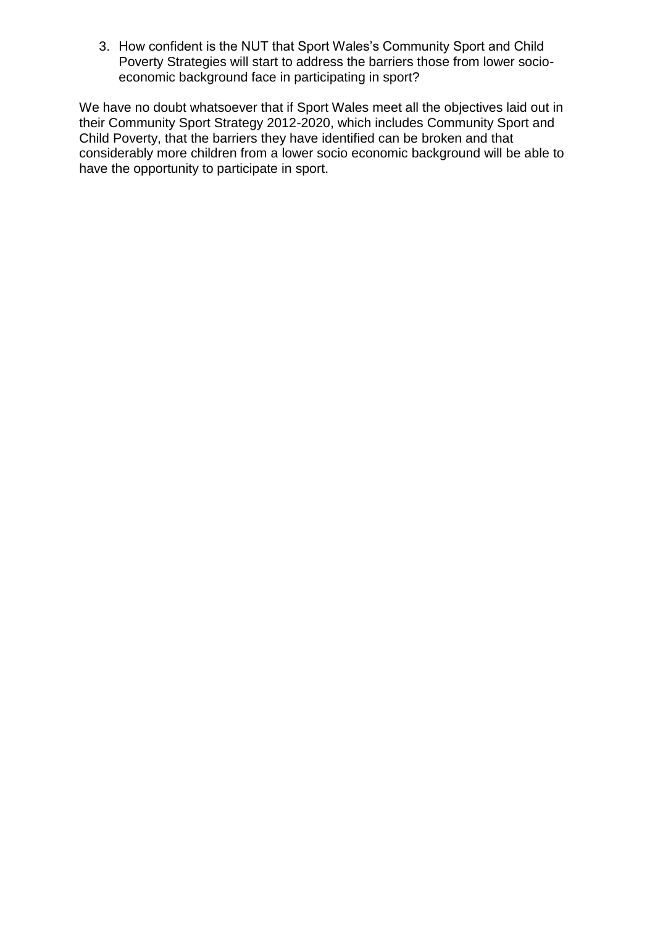3. How confident is the NUT that Sport Wales's Community Sport and Child Poverty Strategies will start to address the barriers those from lower socioeconomic background face in participating in sport?

We have no doubt whatsoever that if Sport Wales meet all the objectives laid out in their Community Sport Strategy 2012-2020, which includes Community Sport and Child Poverty, that the barriers they have identified can be broken and that considerably more children from a lower socio economic background will be able to have the opportunity to participate in sport.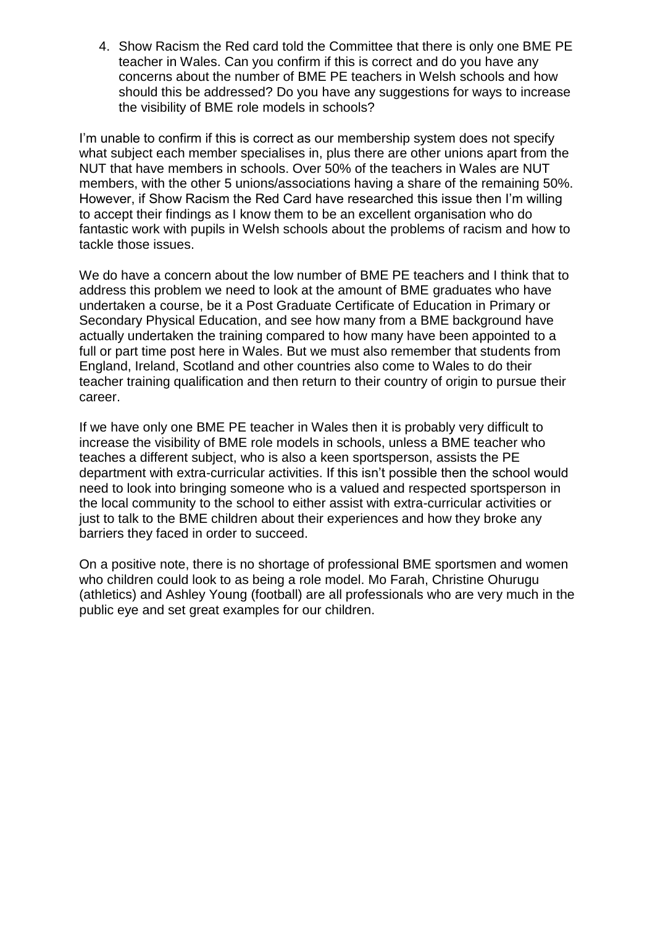4. Show Racism the Red card told the Committee that there is only one BME PE teacher in Wales. Can you confirm if this is correct and do you have any concerns about the number of BME PE teachers in Welsh schools and how should this be addressed? Do you have any suggestions for ways to increase the visibility of BME role models in schools?

I'm unable to confirm if this is correct as our membership system does not specify what subject each member specialises in, plus there are other unions apart from the NUT that have members in schools. Over 50% of the teachers in Wales are NUT members, with the other 5 unions/associations having a share of the remaining 50%. However, if Show Racism the Red Card have researched this issue then I'm willing to accept their findings as I know them to be an excellent organisation who do fantastic work with pupils in Welsh schools about the problems of racism and how to tackle those issues.

We do have a concern about the low number of BME PE teachers and I think that to address this problem we need to look at the amount of BME graduates who have undertaken a course, be it a Post Graduate Certificate of Education in Primary or Secondary Physical Education, and see how many from a BME background have actually undertaken the training compared to how many have been appointed to a full or part time post here in Wales. But we must also remember that students from England, Ireland, Scotland and other countries also come to Wales to do their teacher training qualification and then return to their country of origin to pursue their career.

If we have only one BME PE teacher in Wales then it is probably very difficult to increase the visibility of BME role models in schools, unless a BME teacher who teaches a different subject, who is also a keen sportsperson, assists the PE department with extra-curricular activities. If this isn't possible then the school would need to look into bringing someone who is a valued and respected sportsperson in the local community to the school to either assist with extra-curricular activities or just to talk to the BME children about their experiences and how they broke any barriers they faced in order to succeed.

On a positive note, there is no shortage of professional BME sportsmen and women who children could look to as being a role model. Mo Farah, Christine Ohurugu (athletics) and Ashley Young (football) are all professionals who are very much in the public eye and set great examples for our children.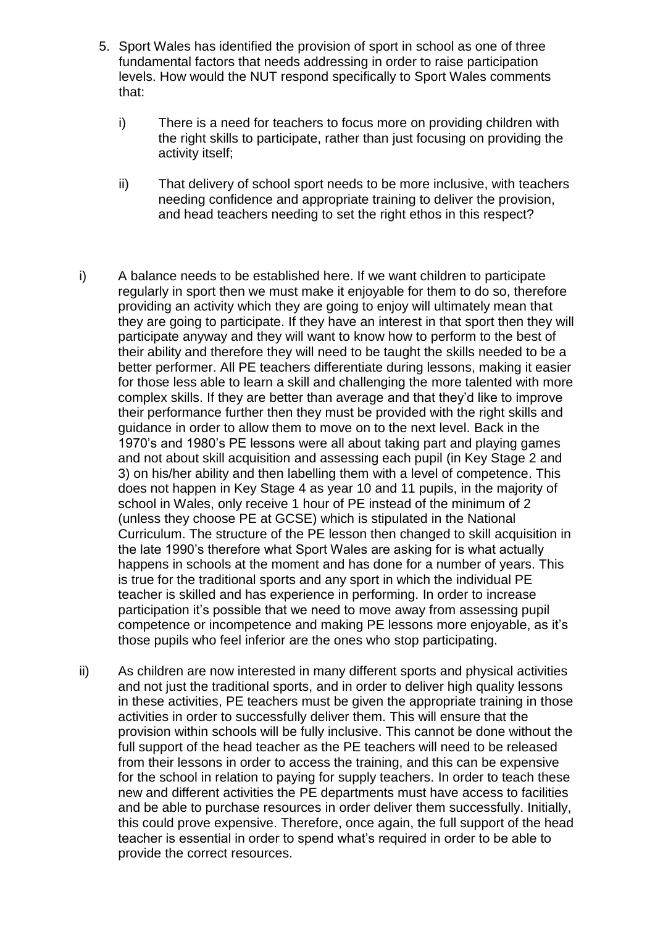- 5. Sport Wales has identified the provision of sport in school as one of three fundamental factors that needs addressing in order to raise participation levels. How would the NUT respond specifically to Sport Wales comments that:
	- i) There is a need for teachers to focus more on providing children with the right skills to participate, rather than just focusing on providing the activity itself;
	- ii) That delivery of school sport needs to be more inclusive, with teachers needing confidence and appropriate training to deliver the provision, and head teachers needing to set the right ethos in this respect?
- i) A balance needs to be established here. If we want children to participate regularly in sport then we must make it enjoyable for them to do so, therefore providing an activity which they are going to enjoy will ultimately mean that they are going to participate. If they have an interest in that sport then they will participate anyway and they will want to know how to perform to the best of their ability and therefore they will need to be taught the skills needed to be a better performer. All PE teachers differentiate during lessons, making it easier for those less able to learn a skill and challenging the more talented with more complex skills. If they are better than average and that they'd like to improve their performance further then they must be provided with the right skills and guidance in order to allow them to move on to the next level. Back in the 1970's and 1980's PE lessons were all about taking part and playing games and not about skill acquisition and assessing each pupil (in Key Stage 2 and 3) on his/her ability and then labelling them with a level of competence. This does not happen in Key Stage 4 as year 10 and 11 pupils, in the majority of school in Wales, only receive 1 hour of PE instead of the minimum of 2 (unless they choose PE at GCSE) which is stipulated in the National Curriculum. The structure of the PE lesson then changed to skill acquisition in the late 1990's therefore what Sport Wales are asking for is what actually happens in schools at the moment and has done for a number of years. This is true for the traditional sports and any sport in which the individual PE teacher is skilled and has experience in performing. In order to increase participation it's possible that we need to move away from assessing pupil competence or incompetence and making PE lessons more enjoyable, as it's those pupils who feel inferior are the ones who stop participating.
- ii) As children are now interested in many different sports and physical activities and not just the traditional sports, and in order to deliver high quality lessons in these activities, PE teachers must be given the appropriate training in those activities in order to successfully deliver them. This will ensure that the provision within schools will be fully inclusive. This cannot be done without the full support of the head teacher as the PE teachers will need to be released from their lessons in order to access the training, and this can be expensive for the school in relation to paying for supply teachers. In order to teach these new and different activities the PE departments must have access to facilities and be able to purchase resources in order deliver them successfully. Initially, this could prove expensive. Therefore, once again, the full support of the head teacher is essential in order to spend what's required in order to be able to provide the correct resources.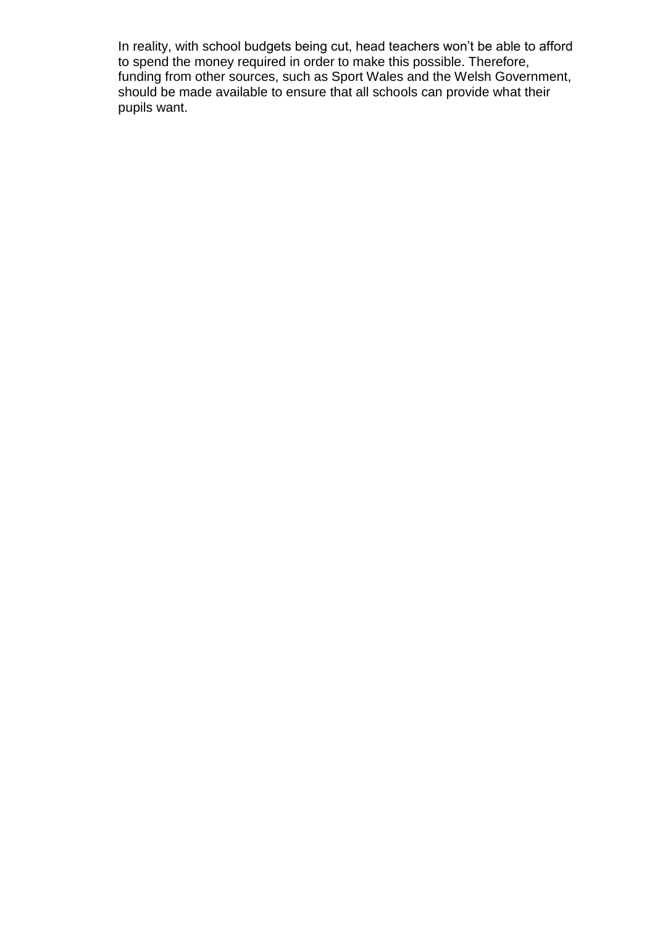In reality, with school budgets being cut, head teachers won't be able to afford to spend the money required in order to make this possible. Therefore, funding from other sources, such as Sport Wales and the Welsh Government, should be made available to ensure that all schools can provide what their pupils want.